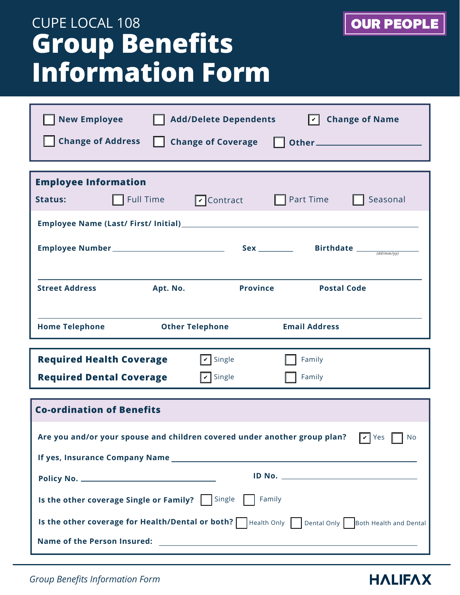# **Group Benefits Information Form** CUPE LOCAL 108

| <b>New Employee</b>                                                                                     | <b>Add/Delete Dependents</b> | ∣✓∣                                            | <b>Change of Name</b>                                                                                                   |  |  |  |
|---------------------------------------------------------------------------------------------------------|------------------------------|------------------------------------------------|-------------------------------------------------------------------------------------------------------------------------|--|--|--|
| <b>Change of Address</b>                                                                                | <b>Change of Coverage</b>    |                                                | <b>District Service Service Service Service Service Service Service Service Service Service Service Service Service</b> |  |  |  |
|                                                                                                         |                              |                                                |                                                                                                                         |  |  |  |
| <b>Employee Information</b>                                                                             |                              |                                                |                                                                                                                         |  |  |  |
| Full Time<br><b>Status:</b>                                                                             | $\triangledown$ Contract     | <b>Part Time</b>                               | Seasonal                                                                                                                |  |  |  |
|                                                                                                         |                              |                                                |                                                                                                                         |  |  |  |
|                                                                                                         |                              | Sex _________ Birthdate $\frac{1}{(dd/mm/yy)}$ |                                                                                                                         |  |  |  |
|                                                                                                         |                              |                                                |                                                                                                                         |  |  |  |
| <b>Street Address</b>                                                                                   | Apt. No.                     | <b>Province</b>                                | <b>Postal Code</b>                                                                                                      |  |  |  |
|                                                                                                         |                              |                                                |                                                                                                                         |  |  |  |
| <b>Home Telephone</b>                                                                                   | <b>Other Telephone</b>       | <b>Email Address</b>                           |                                                                                                                         |  |  |  |
| <b>Required Health Coverage</b><br>$\triangledown$ Single<br>Family                                     |                              |                                                |                                                                                                                         |  |  |  |
| <b>Required Dental Coverage</b>                                                                         | $\sqrt{\mathbf{v}}$ Single   | Family                                         |                                                                                                                         |  |  |  |
|                                                                                                         |                              |                                                |                                                                                                                         |  |  |  |
| <b>Co-ordination of Benefits</b>                                                                        |                              |                                                |                                                                                                                         |  |  |  |
| Are you and/or your spouse and children covered under another group plan?<br>$\triangledown$ Yes<br>No. |                              |                                                |                                                                                                                         |  |  |  |
|                                                                                                         |                              |                                                |                                                                                                                         |  |  |  |
|                                                                                                         |                              |                                                |                                                                                                                         |  |  |  |
| <b>Is the other coverage Single or Family?</b>   Single    <br>Family                                   |                              |                                                |                                                                                                                         |  |  |  |
| Is the other coverage for Health/Dental or both?   Health Only   Dental Only   Both Health and Dental   |                              |                                                |                                                                                                                         |  |  |  |
|                                                                                                         |                              |                                                |                                                                                                                         |  |  |  |

*Group Benefits Information Form*

## **HALIFAX**